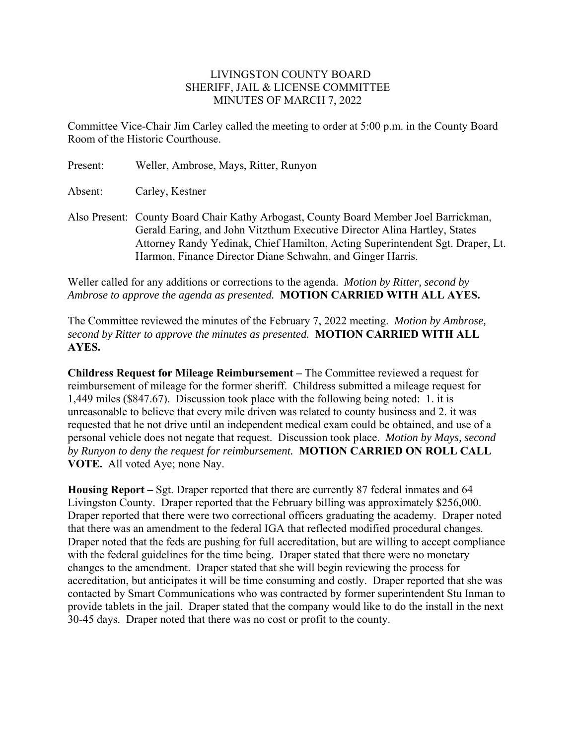## LIVINGSTON COUNTY BOARD SHERIFF, JAIL & LICENSE COMMITTEE MINUTES OF MARCH 7, 2022

Committee Vice-Chair Jim Carley called the meeting to order at 5:00 p.m. in the County Board Room of the Historic Courthouse.

Present: Weller, Ambrose, Mays, Ritter, Runyon

Absent: Carley, Kestner

Also Present: County Board Chair Kathy Arbogast, County Board Member Joel Barrickman, Gerald Earing, and John Vitzthum Executive Director Alina Hartley, States Attorney Randy Yedinak, Chief Hamilton, Acting Superintendent Sgt. Draper, Lt. Harmon, Finance Director Diane Schwahn, and Ginger Harris.

Weller called for any additions or corrections to the agenda. *Motion by Ritter, second by Ambrose to approve the agenda as presented.* **MOTION CARRIED WITH ALL AYES.** 

The Committee reviewed the minutes of the February 7, 2022 meeting. *Motion by Ambrose, second by Ritter to approve the minutes as presented.* **MOTION CARRIED WITH ALL AYES.** 

**Childress Request for Mileage Reimbursement –** The Committee reviewed a request for reimbursement of mileage for the former sheriff. Childress submitted a mileage request for 1,449 miles (\$847.67). Discussion took place with the following being noted: 1. it is unreasonable to believe that every mile driven was related to county business and 2. it was requested that he not drive until an independent medical exam could be obtained, and use of a personal vehicle does not negate that request. Discussion took place. *Motion by Mays, second by Runyon to deny the request for reimbursement.* **MOTION CARRIED ON ROLL CALL VOTE.** All voted Aye; none Nay.

**Housing Report –** Sgt. Draper reported that there are currently 87 federal inmates and 64 Livingston County. Draper reported that the February billing was approximately \$256,000. Draper reported that there were two correctional officers graduating the academy. Draper noted that there was an amendment to the federal IGA that reflected modified procedural changes. Draper noted that the feds are pushing for full accreditation, but are willing to accept compliance with the federal guidelines for the time being. Draper stated that there were no monetary changes to the amendment. Draper stated that she will begin reviewing the process for accreditation, but anticipates it will be time consuming and costly. Draper reported that she was contacted by Smart Communications who was contracted by former superintendent Stu Inman to provide tablets in the jail. Draper stated that the company would like to do the install in the next 30-45 days. Draper noted that there was no cost or profit to the county.